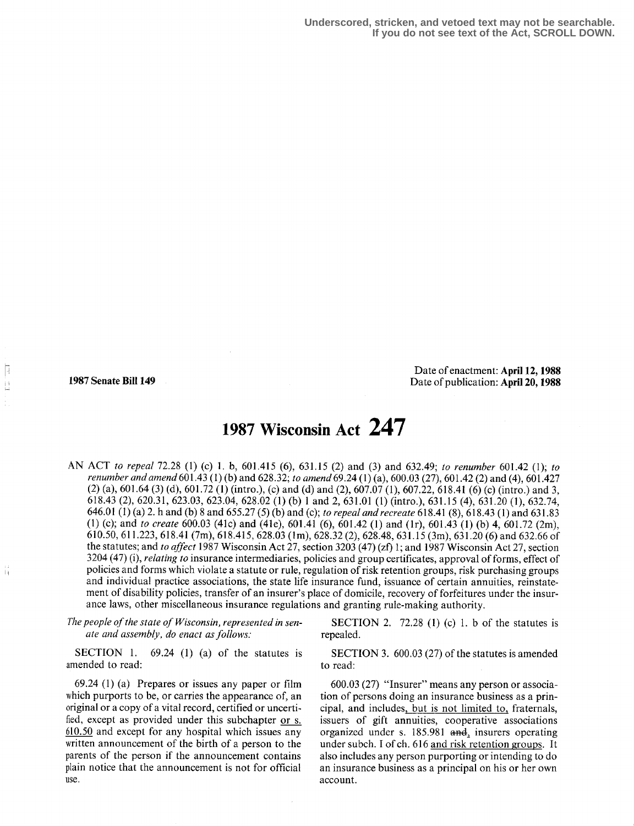É

ă

Date of enactment: April 12, 1988 1987 Senate Bill 149 Date of publication: April 20, 1988

# 1987 Wisconsin Act 247

AN ACT to repeal 72.28 (1) (c) 1 . b, 601 .415 (6), 631 .15 (2) and (3) and 632.49; to renumber 601 .42 (1); to renumber and amend 601 .43 (1) (b) and 628.32; to amend 69.24 (1) (a), 600.03 (27), 601 .42 (2) and (4), 601 .427 (2) (a), 601 .64 (3) (d), 601 .72 (l) (intro .), (c) and (d) and (2), 607.07 (1), 607.22, 618.41 (6) (c) (intro .) and 3, 618.43 (2), 620.31, 623.03, 623 .04, 628.02 (1) (b) 1 and 2, 631 .01 (1) (intro .), 631 .15 (4), 631 .20 (1), 632.74, 646.01 (1) (a) 2 . h and (b) 8 and 655.27 (5) (b) and (c); to repeal and recreate 618.41 (8), 618.43 (1) and 631 .83 (1) (c); and to create 600.03 (41c) and (41e), 601 .41 (6), 601 .42 (1) and (1r), 601 .43 (1) (b) 4, 601 .72 (2m), 610.50, 611 .223, 618.41 (7m), 618 .415, 628 .03 (lm), 628 .32 (2), 628.48, 631 .15 (3m), 631 .20 (6) and 632 .66 of the statutes; and to affect 1987 Wisconsin Act 27, section 3203 (47) (zf) 1; and 1987 Wisconsin Act 27, section 3204 (47) (i), *relating to* insurance intermediaries, policies and group certificates, approval of forms, effect of policies and forms which violate a statute or rule, regulation of risk retention groups, risk purchasing groups and individual practice associations, the state life insurance fund, issuance of certain annuities, reinstatement of disability policies, transfer of an insurer's place of domicile, recovery of forfeitures under the insurance laws, other miscellaneous insurance regulations and granting rule-making authority.

The people of the state of Wisconsin, represented in sen-<br>
ate and assembly, do enact as follows:<br>
repealed.<br>  $\begin{array}{ll} \text{Second} \\ \text{1} \end{array}$  T2.28 (1) (c) 1. b of the statutes is ate and assembly, do enact as follows:

SECTION 1.  $69.24$  (1) (a) of the statutes is amended to read:

69.24 (1) (a) Prepares or issues any paper or film which purports to be, or carries the appearance of, an original or a copy of a vital record, certified or uncertified, except as provided under this subchapter or s. 610.50 and except for any hospital which issues any written announcement of the birth of a person to the parents of the person if the announcement contains plain notice that the announcement is not for official use .

SECTION 3. 600.03 (27) of the statutes is amended to read:

600.03 (27) "Insurer" means any person or association of persons doing an insurance business as a principal, and includes, but is not limited to, fraternals, issuers of gift annuities, cooperative associations organized under s. 185.981 and, insurers operating under subch. I of ch. 616 and risk retention groups. It also includes any person purporting or intending to do an insurance business as a principal on his or her own account.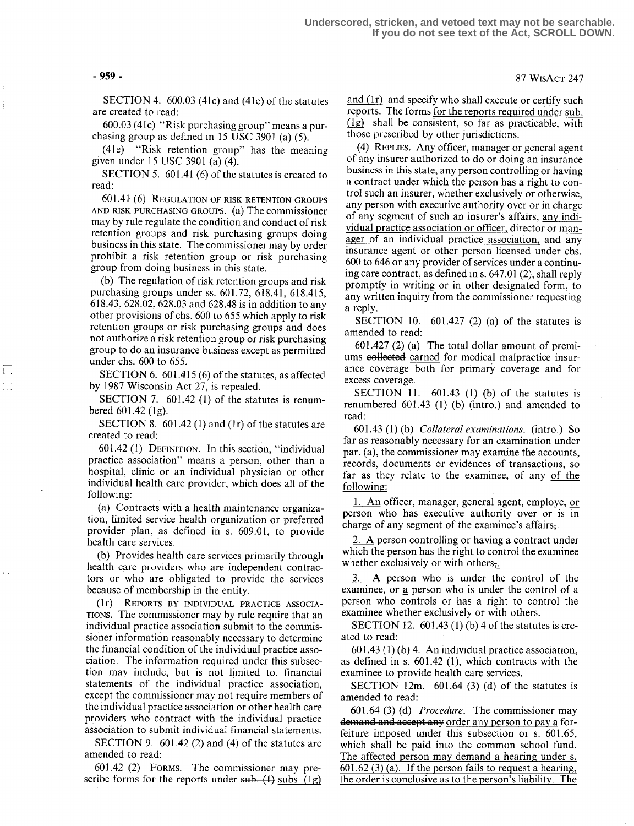SECTION 4. 600.03 (41c) and (41e) of the statutes are created to read:

600.03 (41c) "Risk purchasing group" means a purchasing group as defined in IS USC 3901 (a) (5).

(41e) "Risk retention group" has the meaning given under 15 USC 3901 (a) (4) .

SECTION 5. 601.41 (6) of the statutes is created to read:

601 .41- (6) REGULATION OF RISK RETENTION GROUPS AND RISK PURCHASING GROUPS. (a) The commissioner may by rule regulate the condition and conduct of risk retention groups and risk purchasing groups doing business in this state . The commissioner may by order prohibit a risk retention group or risk purchasing group from doing business in this state.

(b) The regulation of risk retention groups and risk purchasing groups under ss. 601.72, 618.41, 618.415, 618 .43, 628.02, 628 .03 and 628.48 is in addition to any other provisions of chs . 600 to 655 which apply to risk retention groups or risk purchasing groups and does not authorize a risk retention group or risk purchasing group to do an insurance business except as permitted under chs. 600 to 655.

SECTION 6. 601.415 (6) of the statutes, as affected by 1987 Wisconsin Act 27, is repealed.

SECTION 7.  $601.42$  (1) of the statutes is renumbered  $601.42$  (1g).

SECTION 8.  $601.42$  (1) and (1r) of the statutes are created to read:

601 .42 (1) DEFINITION . In this section, "individual practice association" means a person, other than a hospital, clinic or an individual physician or other individual health care provider, which does all of the following:

(a) Contracts with a health maintenance organization, limited service health organization or preferred provider plan, as defined in s. 609.01, to provide health care services.

(b) Provides health care services primarily through health care providers who are independent contractors or who are obligated to provide the services because of membership in the entity.

(1r) REPORTS BY INDIVIDUAL PRACTICE ASSOCIA-TIONS. The commissioner may by rule require that an individual practice association submit to the commissioner information reasonably necessary to determine the financial condition of the individual practice association. The information required under this subsection may include, but is not limited to, financial statements of the individual practice association, except the commissioner may not require members of the individual practice association or other health care providers who contract with the individual practice association to submit individual financial statements.

SECTION 9. 601.42 (2) and (4) of the statutes are amended to read:

601 .42 (2) FORMS. The commissioner may prescribe forms for the reports under  $sub. (1)$  subs. (1g) and  $(1r)$  and specify who shall execute or certify such reports. The forms for the reports required under sub. (1g) shall be consistent, so far as practicable, with those prescribed by other jurisdictions .

(4) REPLIES. Any officer, manager or general agent of any insurer authorized to do or doing an insurance business in this state, any person controlling or having a contract under which the person has a right to control such an insurer, whether exclusively or otherwise, any person with executive authority over or in charge of any segment of such an insurer's affairs, any individual practice association or officer, director or manager of an individual practice association, and any insurance agent or other person licensed under chs. 600 to 646 or any provider of services under a continuing care contract, as defined in s. 647.01 (2), shall reply promptly in writing or in other designated form, to any written inquiry from the commissioner requesting a reply.

SECTION 10.  $601.427$  (2) (a) of the statutes is amended to read:

601 .427 (2) (a) The total dollar amount of premiums e<del>ollected</del> earned for medical malpractice insurance coverage both for primary coverage and for excess coverage.

SECTION 11.  $601.43$  (1) (b) of the statutes is renumbered  $601.43$  (1) (b) (intro.) and amended to read:

601 .43 (1) (b) Collateral examinations. (intro .) So far as reasonably necessary for an examination under par. (a), the commissioner may examine the accounts, records, documents or evidences of transactions, so far as they relate to the examinee, of any of the following:

<sup>1</sup> . An officer, manager, general agent, employe, or person who has executive authority over or is in charge of any segment of the examinee's affairs,

2. A person controlling or having a contract under which the person has the right to control the examinee whether exclusively or with others,.

3. A person who is under the control of the examinee, or a person who is under the control of a person who controls or has a right to control the examinee whether exclusively or with others.

SECTION 12.  $601.43(1)(b)$  4 of the statutes is created to read:

<sup>601</sup> .43 (1) (b) 4. An individual practice association, as defined in s.  $601.42$  (1), which contracts with the examinee to provide health care services.

SECTION 12m.  $601.64$  (3) (d) of the statutes is amended to read:

 $601.64$  (3) (d) *Procedure*. The commissioner may demand and accept any order any person to pay a forfeiture imposed under this subsection or s. 601.65, which shall be paid into the common school fund. The affected person may demand a hearing under s.  $601.62$  (3) (a). If the person fails to request a hearing, the order is conclusive as to the person's liability. The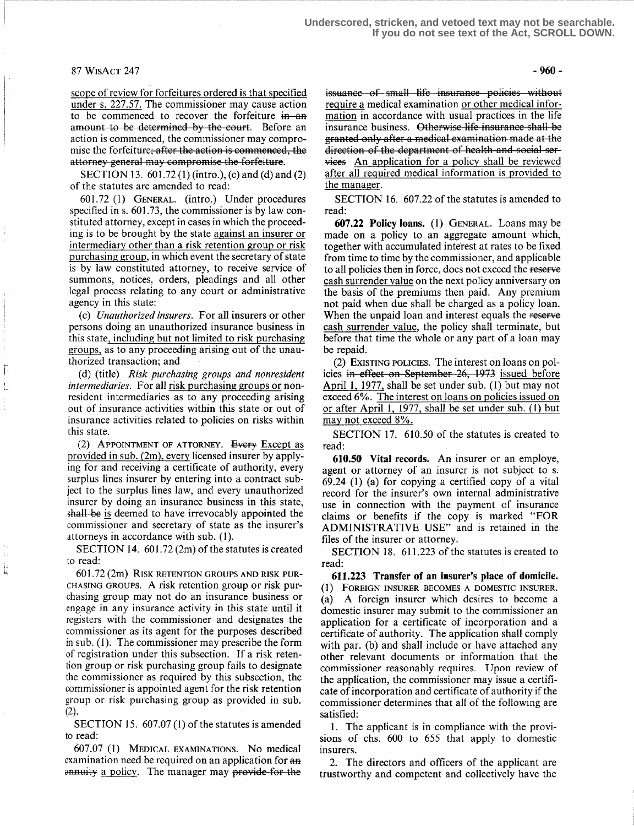### $87 WISACT 247 - 960 -$

scope of review for forfeitures ordered is that specified under s. 227.57 . The commissioner may cause action to be commenced to recover the forfeiture in an amount to be determined by the court. Before an scope of fevrew for forfertures ordered is that spectrical<br>under s. 227.57. The commissioner may cause action<br>to be commenced to recover the forfeiture in an<br>action is commenced, the commissioner may compro-<br>mise the forf mise the forfeiture<del>; after the action is commenced, the</del> attorney general may compromise the forfeiture.

SECTION 13. 601.72 (1) (intro.), (c) and (d) and (2) of the statutes are amended to read:

601 .72 (1) GENERAL. (intro .) Under procedures specified in s. 601.73, the commissioner is by law constituted attorney, except in cases in which the proceeding is to be brought by the state against an insurer or intermediary other than a risk retention group or risk purchasing group, in which event the secretary of state is by law constituted attorney, to receive service of summons, notices, orders, pleadings and all other legal process relating to any court or administrative agency in this state:

(c) Unauthorized insurers . For all insurers or other persons doing an unauthorized insurance business in this state, including but not limited to risk purchasing groups, as to any proceeding arising out of the unauthorized transaction; and

(d) (title) Risk purchasing groups and nonresident intermediaries. For all risk purchasing groups or nonresident intermediaries as to any proceeding arising out of insurance activities within this state or out of insurance activities related to policies on risks within this state.

(2) APPOINTMENT OF ATTORNEY. Every Except as provided in sub. (2m), every licensed insurer by applying for and receiving a certificate of authority, every surplus lines insurer by entering into a contract subject to the surplus lines law, and every unauthorized insurer by doing an insurance business in this state, shall be is deemed to have irrevocably appointed the commissioner and secretary of state as the insurer's attorneys in accordance with sub. (1).

SECTION 14.  $601.72$  (2m) of the statutes is created to read:

 $601.72$   $(2m)$  RISK RETENTION GROUPS AND RISK PUR-CHASING GROUPS. A risk retention group or risk purchasing group may not do an insurance business or engage in any insurance activity in this state until it registers with the commissioner and designates the commissioner as its agent for the purposes described in sub. (1). The commissioner may prescribe the form of registration under this subsection . If a risk retention group or risk purchasing group fails to designate the commissioner as required by this subsection, the commissioner is appointed agent for the risk retention group or risk purchasing group as provided in sub.

SECTION 15. 607.07 (1) of the statutes is amended to read:

.07 (1) MEDICAL EXAMINATIONS. No medical examination need be required on an application for  $a\theta$ annuity a policy. The manager may provide for the

issuance of small life insurance policies without require a medical examination or other medical information in accordance with usual practices in the life insurance business. Otherwise life insurance shall be direction of the department of health and social services An application for a policy shall be reviewed after all required medical information is provided to the manager.

SECTION 16. 607.22 of the statutes is amended to read:

607.22 Policy loans. (1) GENERAL. Loans may be made on a policy to an aggregate amount which, together with accumulated interest at rates to be fixed from time to time by the commissioner, and applicable to all policies then in force, does not exceed the reserve cash surrender value on the next policy anniversary on the basis of the premiums then paid. Any premium not paid when due shall be charged as a policy loan. When the unpaid loan and interest equals the reserve cash surrender value, the policy shall terminate, but before that time the whole or any part of a loan may be repaid.

(2) EXISTING POLICIES . The interest on loans on policies in effect on September-26, 1973 issued before April 1, 1977, shall be set under sub. (1) but may not exceed 6%. The interest on loans on policies issued on or after April 1, 1977, shall be set under sub. (1) but may not exceed 8%.

SECTION 17. 610.50 of the statutes is created to read:

610.50 Vital records. An insurer or an employe, agent or attorney of an insurer is not subject to s. 69.24 (1) (a) for copying a certified copy of a vital record for the insurer's own internal administrative use in connection with the payment of insurance claims or benefits if the copy is marked "FOR ADMINISTRATIVE USE" and is retained in the files of the insurer or attorney.

SECTION 18. 611.223 of the statutes is created to read:

611.223 Transfer of an insurer's place of domicile. (I) FOREIGN INSURER BECOMES A DOMESTIC INSURER. (a) A foreign insurer which desires to become a domestic insurer may submit to the commissioner an application for a certificate of incorporation and a certificate of authority. The application shall comply with par. (b) and shall include or have attached any other relevant documents or information that the commissioner reasonably requires. Upon review of the application, the commissioner may issue a certificate of incorporation and certificate of authority if the commissioner determines that all of the following are satisfied:

1. The applicant is in compliance with the provisions of chs. 600 to 655 that apply to domestic insurers.

2. The directors and officers of the applicant are trustworthy and competent and collectively have the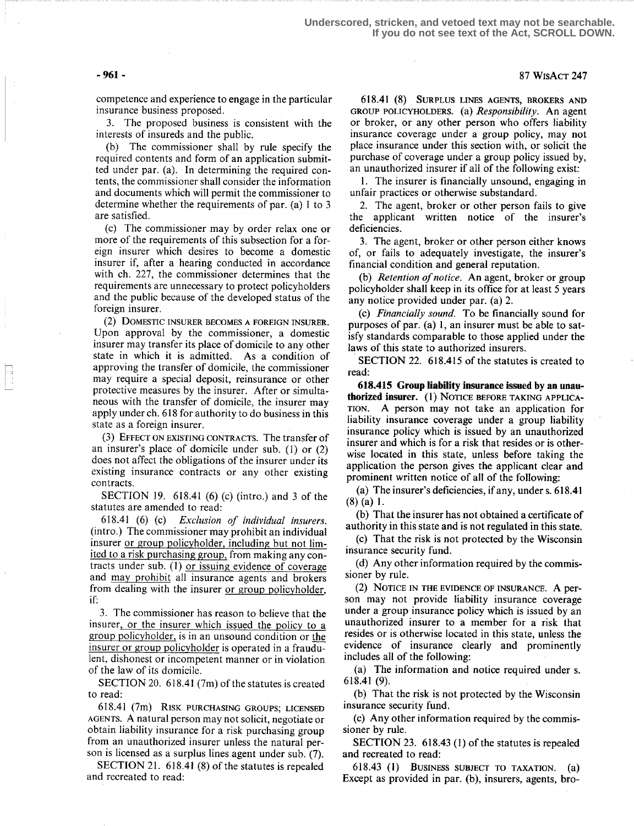**Underscored, stricken, and vetoed text may not be searchable. If you do not see text of the Act, SCROLL DOWN.**

## -961- 87 WisAcT 247

competence and experience to engage in the particular insurance business proposed.

3. The proposed business is consistent with the interests of insureds and the public.

(b) The commissioner shall by rule specify the required contents and form of an application submitted under par. (a). In determining the required contents, the commissioner shall consider the information and documents which will permit the commissioner to determine whether the requirements of par. (a) 1 to 3 are satisfied.

(c) The commissioner may by order relax one or more of the requirements of this subsection for a foreign insurer which desires to become a domestic insurer if, after a hearing conducted in accordance with ch. 227, the commissioner determines that the requirements are unnecessary to protect policyholders and the public because of the developed status of the foreign insurer.

(2) DOMESTIC INSURER BECOMES A FOREIGN INSURER. Upon approval by the commissioner, a domestic insurer may transfer its place of domicile to any other state in which it is admitted. As a condition of approving the transfer of domicile, the commissioner may require a special deposit, reinsurance or other protective measures by the insurer. After or simultaneous with the transfer of domicile, the insurer may apply under ch. 618 for authority to do business in this state as a foreign insurer.

(3) EFFECT ON EXISTING CONTRACTS. The transfer of an insurer's place of domicile under sub. (1) or (2) does not affect the obligations of the insurer under its existing insurance contracts or any other existing contracts.

SECTION 19.  $618.41$  (6) (c) (intro.) and 3 of the statutes are amended to read:

618.41 (6) (c) Exclusion of individual insurers. (intro.) The commissioner may prohibit an individual insurer or group policyholder, including but not limited to a risk purchasing group, from making any contracts under sub. (1) or issuing evidence of coverage and may prohibit all insurance agents and brokers from dealing with the insurer or group policyholder, if:

<sup>3</sup> . The commissioner has reason to believe that the insurer, or the insurer which issued the policy to a group policyholder, is in an unsound condition or the insurer or group policyholder is operated in a fraudulent, dishonest or incompetent manner or in violation of the law of its domicile.

SECTION 20. 618.41 (7m) of the statutes is created to read:

618.41 (7m) RISK PURCHASING GROUPS; LICENSED AGENTS. A natural person may not solicit, negotiate or obtain liability insurance for a risk purchasing group from an unauthorized insurer unless the natural person is licensed as a surplus lines agent under sub. (7).

SECTION 21. 618.41 (8) of the statutes is repealed and recreated to read:

618.41 (8) SURPLUS LINES AGENTS, BROKERS AND GROUP POLICYHOLDERS. (a) Responsibility. An agent or broker, or any other person who offers liability insurance coverage under a group policy, may not place insurance under this section with, or solicit the purchase of coverage under a group policy issued by, an unauthorized insurer if all of the following exist:

1. The insurer is financially unsound, engaging in unfair practices or otherwise substandard.

2. The agent, broker or other person fails to give the applicant written notice of the insurer's deficiencies.

3. The agent, broker or other person either knows of, or fails to adequately investigate, the insurer's financial condition and general reputation.

(b) Retention of notice. An agent, broker or group policyholder shall keep in its office for at least 5 years any notice provided under par. (a) 2.

(c) Financially sound. To be financially sound for purposes of par. (a) 1, an insurer must be able to satisfy standards comparable to those applied under the laws of this state to authorized insurers.

SECTION 22. 618.415 of the statutes is created to read:

618.415 Group liability insurance issued by an unauthorized insurer. (I) NOTICE BEFORE TAKING APPLICA-TION. A person may not take an application for liability insurance coverage under a group liability insurance policy which is issued by an unauthorized insurer and which is for a risk that resides or is otherwise located in this state, unless before taking the application the person gives the applicant clear and prominent written notice of all of the following:

(a) The insurer's deficiencies, if any, under s. 618.41  $(8)$  (a) 1.

(b) That the insurer has not obtained a certificate of authority in this state and is not regulated in this state.

(c) That the risk is not protected by the Wisconsin insurance security fund.

(d) Any other information required by the commissioner by rule.

(2) NOTICE IN THE EVIDENCE OF INSURANCE. A person may not provide liability insurance coverage under a group insurance policy which is issued by an unauthorized insurer to a member for a risk that resides or is otherwise located in this state, unless the evidence of insurance clearly and prominently includes all of the following:

(a) The information and notice required under s. 618.41 (9) .

(b) That the risk is not protected by the Wisconsin insurance security fund.

(c) Any other information required by the commissioner by rule.

SECTION 23. 618.43 (1) of the statutes is repealed and recreated to read:

618.43 (1) BUSINESS SUBJECT TO TAXATION.  $(a)$ Except as provided in par. (b), insurers, agents, bro-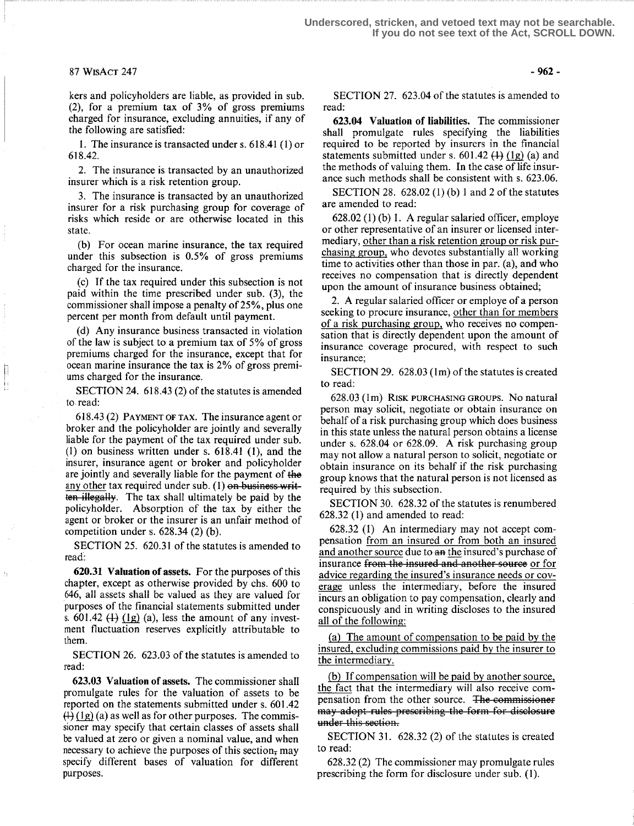#### 87 WisAcT 247

kers and policyholders are liable, as provided in sub. (2), for a premium tax of 3% of gross premiums charged for insurance, excluding annuities, if any of the following are satisfied:

1. The insurance is transacted under s. 618.41 (1) or 618.42.

2. The insurance is transacted by an unauthorized insurer which is a risk retention group.

3. The insurance is transacted by an unauthorized insurer for a risk purchasing group for coverage of risks which reside or are otherwise located in this state.

(b) For ocean marine insurance, the tax required under this subsection is 0.5% of gross premiums charged for the insurance.

(c) If the tax required under this subsection is not paid within the time prescribed under sub. (3), the commissioner shall impose a penalty of 25%, plus one percent per month from default until payment.

(d) Any insurance business transacted in violation of the law is subject to a premium tax of 5% of gross premiums charged for the insurance, except that for ocean marine insurance the tax is 2% of gross premiums charged for the insurance.

SECTION 24. 618.43 (2) of the statutes is amended to read:

618 .43 (2) PAYMENT OF TAX. The insurance agent or broker and the policyholder are jointly and severally liable for the payment of the tax required under sub. (1) on business written under s. 618.41 (1), and the insurer, insurance agent or broker and policyholder are jointly and severally liable for the payment of the any other tax required under sub. (1) on business written illegally. The tax shall ultimately be paid by the policyholder. Absorption of the tax by either the agent or broker or the insurer is an unfair method of competition under s.  $628.34$  (2) (b).

SECTION 25. 620.31 of the statutes is amended to read:

 $\pm\,$ 

620.31 Valuation of assets. For the purposes of this chapter, except as otherwise provided by chs. 600 to 646, all assets shall be valued as they are valued for purposes of the financial statements submitted under s.  $601.42 \left( \frac{1}{1} \right) \left( \frac{1}{2} \right)$  (a), less the amount of any investment fluctuation reserves explicitly attributable to them .

SECTION 26. 623.03 of the statutes is amended to read :

623.03 Valuation of assets. The commissioner shall promulgate rules for the valuation of assets to be reported on the statements submitted under s. 601 .42  $(1)$  (1g) (a) as well as for other purposes. The commissioner may specify that certain classes of assets shall be valued at zero or given a nominal value, and when necessary to achieve the purposes of this section; may specify different bases of valuation for different purposes.

-962-

SECTION 27. 623.04 of the statutes is amended to read:

623.04 Valuation of liabilities. The commissioner shall promulgate rules specifying the liabilities required to be reported by insurers in the financial statements submitted under s.  $601.42$  (1) (1g) (a) and the methods of valuing them. In the case of life insurance such methods shall be consistent with s. 623.06.

SECTION 28.  $628.02(1)(b)$  1 and 2 of the statutes are amended to read:

 $628.02$  (1) (b) 1. A regular salaried officer, employe or other representative of an insurer or licensed intermediary, other than a risk retention group or risk purchasing group, who devotes substantially all working time to activities other than those in par. (a), and who receives no compensation that is directly dependent upon the amount of insurance business obtained;

2. A regular salaried officer or employe of a person seeking to procure insurance, other than for members of a risk purchasing group, who receives no compensation that is directly dependent upon the amount of insurance coverage procured, with respect to such insurance;

SECTION 29.  $628.03$  (1m) of the statutes is created to read:

628.03 (1m) RISK PURCHASING GROUPS. No natural person may solicit, negotiate or obtain insurance on behalf of a risk purchasing group which does business in this state unless the natural person obtains a license under s. 628.04 or 628 .09. A risk purchasing group may not allow a natural person to solicit, negotiate or obtain insurance on its behalf if the risk purchasing group knows that the natural person is not licensed as required by this subsection.

SECTION 30. 628.32 of the statutes is renumbered 628.32 (1) and amended to read:

628 .32 (1) An intermediary may not accept compensation from an insured or from both an insured and another source due to an the insured's purchase of insurance from the insured and another source or for advice regarding the insured's insurance needs or coverage unless the intermediary, before the insured incurs an obligation to pay compensation, clearly and conspicuously and in writing discloses to the insured all of the following:

(a) The amount of compensation to be paid by the insured, excluding commissions paid by the insurer to the intermediary.

(b) If compensation will be paid by another source, the fact that the intermediary will also receive compensation from the other source. The commissioner may adopt rules prescribing the form for disclosure under this section.

SECTION 31.  $628.32$  (2) of the statutes is created to read:

628.32 (2) The commissioner may promulgate rules prescribing the form for disclosure under sub. (1).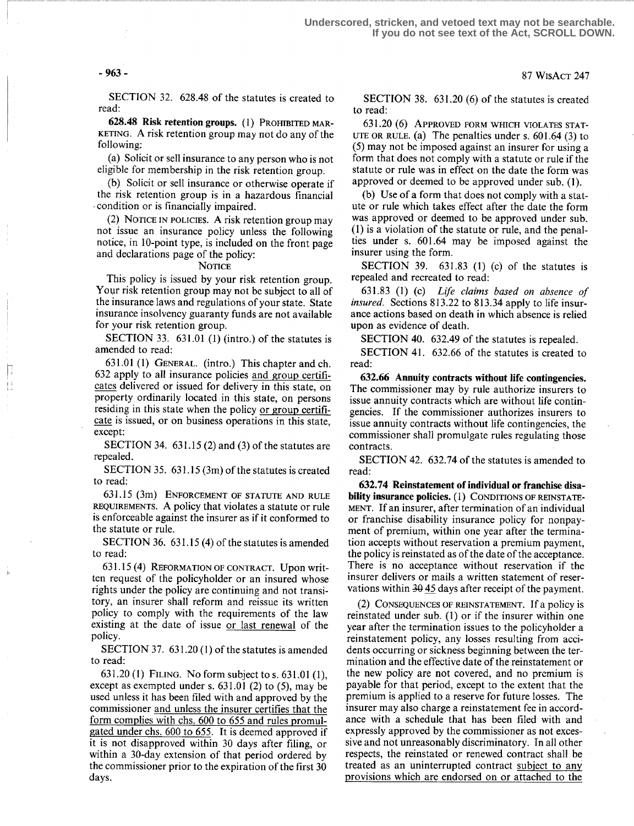SECTION 32. 628.48 of the statutes is created to read:

628.48 Risk retention groups. (1) PROHIBITED MAR-KETING. A risk retention group may not do any of the following:

(a) Solicit or sell insurance to any person who is not eligible for membership in the risk retention group.

(b) Solicit or sell insurance or otherwise operate if the risk retention group is in a hazardous financial condition or is financially impaired.

(2) NOTICE IN POLICIES . A risk retention group may not issue an insurance policy unless the following notice, in 10-point type, is included on the front page and declarations page of the policy:

#### **NOTICE**

This policy is issued by your risk retention group. Your risk retention group may not be subject to all of the insurance laws and regulations of your state. State insurance insolvency guaranty funds are not available for your risk retention group.

SECTION 33.  $631.01$  (1) (intro.) of the statutes is amended to read:

631.01 (1) GENERAL. (intro.) This chapter and ch. 632 apply to all insurance policies and group certificates delivered or issued for delivery in this state, on property ordinarily located in this state, on persons residing in this state when the policy or group certificate is issued, or on business operations in this state, except:

SECTION 34.  $631.15$  (2) and (3) of the statutes are repealed.

SECTION 35. 631.15 (3m) of the statutes is created to read:

631 .15 (3m) ENFORCEMENT OF STATUTE AND RULE REQUIREMENTS . A policy that violates a statute or rule is enforceable against the insurer as if it conformed to the statute or rule.

SECTION 36. 631.15 (4) of the statutes is amended to read:

631 .15 (4) REFORMATION OF CONTRACT. Upon written request of the policyholder or an insured whose rights under the policy are continuing and not transitory, an insurer shall reform and reissue its written policy to comply with the requirements of the law existing at the date of issue or last renewal of the policy.

SECTION 37. 631.20 (1) of the statutes is amended to read:

<sup>631</sup> .20 (1) FILING . No form subject to s. 631 .01 (1), except as exempted under s. 631 .01 (2) to (5), may be used unless it has been filed with and approved by the commissioner and unless the insurer certifies that the form complies with chs. 600 to 655 and rules promulgated under chs. 600 to 655. It is deemed approved if it is not disapproved within 30 days after filing, or within a 30-day extension of that period ordered by the commissioner prior to the expiration of the first 30 days.

SECTION 38. 631.20 (6) of the statutes is created to read:

631 .20 (6) APPROVED FORM WHICH VIOLATES STAT-UTE OR RULE. (a) The penalties under s.  $601.64$  (3) to (5) may not be imposed against an insurer for using a form that does not comply with a statute or rule if the statute or rule was in effect on the date the form was approved or deemed to be approved under sub. (1) .

(b) Use of a form that does not comply with a statute or rule which takes effect after the date the form was approved or deemed to be approved under sub. (1) is a violation of the statute or rule, and the penalties under s. 601 .64 may be imposed against the insurer using the form.

SECTION 39. 631.83 (1) (c) of the statutes is repealed and recreated to read:

631 .83 (1) (c) Life claims based on absence of insured. Sections 813.22 to 813.34 apply to life insurance actions based on death in which absence is relied upon as evidence of death.

SECTION 40. 632.49 of the statutes is repealed.

SECTION 41. 632.66 of the statutes is created to read:

632.66 Annuity contracts without life contingencies. The commissioner may by rule authorize insurers to issue annuity contracts which are without life contingencies. If the commissioner authorizes insurers to issue annuity contracts without life contingencies, the commissioner shall promulgate rules regulating those contracts.

SECTION 42. 632.74 of the statutes is amended to read:

632.74 Reinstatement of individual or franchise disability insurance policies. (1) CONDITIONS OF REINSTATE-MENT. If an insurer, after termination of an individual or franchise disability insurance policy for nonpayment of premium, within one year after the termination accepts without reservation a premium payment, the policy is reinstated as of the date of the acceptance. There is no acceptance without reservation if the insurer delivers or mails a written statement of reservations within  $30\overline{45}$  days after receipt of the payment.

(2) CONSEQUENCES OF REINSTATEMENT. If a policy 1S reinstated under sub. (1) or if the insurer within one year after the termination issues to the policyholder a reinstatement policy, any losses resulting from accidents occurring or sickness beginning between the termination and the effective date of the reinstatement or the new policy are not covered, and no premium is payable for that period, except to the extent that the premium is applied to a reserve for future losses . The insurer may also charge a reinstatement fee in accordance with a schedule that has been filed with and expressly approved by the commissioner as not excessive and not unreasonably discriminatory. In all other respects, the reinstated or renewed contract shall be treated as an uninterrupted contract subject to any provisions which are endorsed on or attached to the